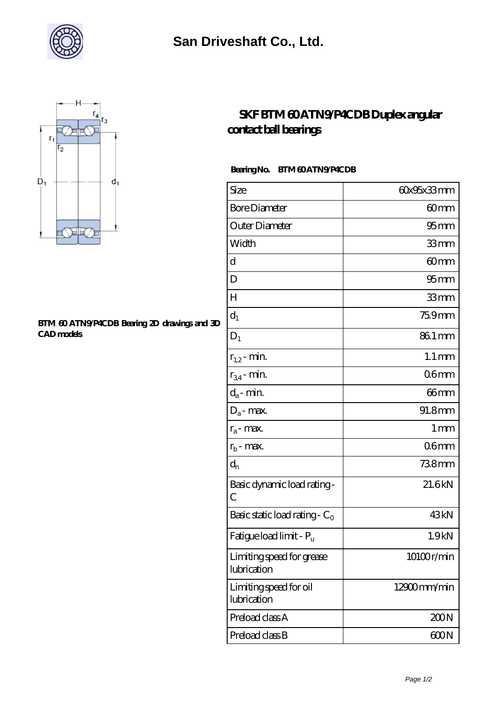



## **[BTM 60 ATN9/P4CDB Bearing 2D drawings and 3D](https://xhjko.com/pic-147552.html) [CAD models](https://xhjko.com/pic-147552.html)**

## **SKF BTM 60ATN9P4CDB Duplex angular [contact ball bearings](https://xhjko.com/at-147552-skf-btm-60-atn9-p4cdb-duplex-angular-contact-ball-bearings.html)**

## Bearing No. BTM 60 ATN9/P4CDB

| Size                                     | 60x95x33mm          |
|------------------------------------------|---------------------|
| <b>Bore Diameter</b>                     | 60mm                |
| Outer Diameter                           | $95 \text{mm}$      |
| Width                                    | 33mm                |
| d                                        | 60mm                |
| D                                        | 95 <sub>mm</sub>    |
| H                                        | 33mm                |
| $d_1$                                    | 75.9mm              |
| $D_1$                                    | 86.1 mm             |
| $r_{1,2}$ - min.                         | $1.1 \,\mathrm{mm}$ |
| $r_{34}$ - min.                          | 06mm                |
| $d_a$ - min.                             | 66 <sub>mm</sub>    |
| $D_a$ - max.                             | 91.8mm              |
| $r_a$ - max.                             | 1 <sub>mm</sub>     |
| $r_{b}$ - max.                           | 06 <sub>mm</sub>    |
| $d_n$                                    | 738mm               |
| Basic dynamic load rating-<br>С          | 21.6kN              |
| Basic static load rating - $C_0$         | 43 <sub>kN</sub>    |
| Fatigue load limit - P <sub>u</sub>      | 1.9 <sub>kN</sub>   |
| Limiting speed for grease<br>lubrication | 10100r/min          |
| Limiting speed for oil<br>lubrication    | 12900mm/min         |
| Preload class A                          | 200N                |
| Preload class B                          | 600N                |